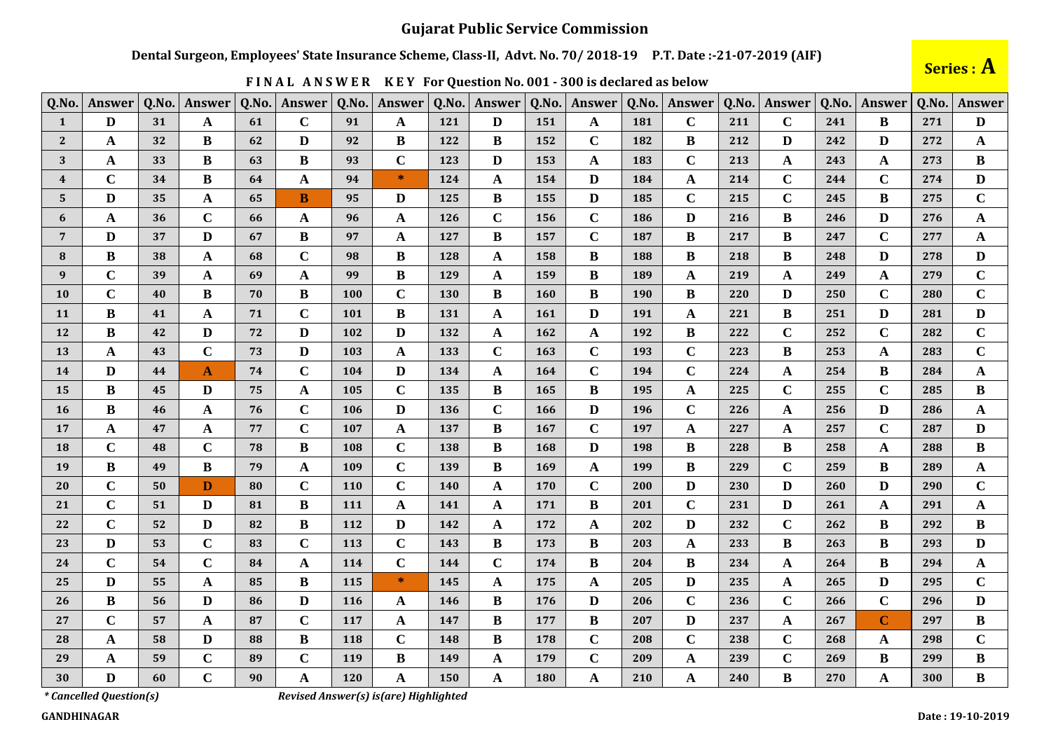### **Gujarat Public Service Commission**

#### Dental Surgeon, Employees' State Insurance Scheme, Class-II, Advt. No. 70/2018-19 P.T. Date:-21-07-2019 (AIF)

|  |  | FINAL ANSWER KEY For Question No. 001 - 300 is declared as below |  |
|--|--|------------------------------------------------------------------|--|
|  |  |                                                                  |  |

Series : A

| Q.No.                   | <b>Answer</b> | Q.No. | Answer       | Q.No. | Answer       | Q.No.      | Answer       | Q.No.      | <b>Answer</b> | Q.No.      | Answer       | Q.No. | <b>Answer</b> | Q.No. | Answer      | Q.No. | <b>Answer</b> | Q.No. | <b>Answer</b> |
|-------------------------|---------------|-------|--------------|-------|--------------|------------|--------------|------------|---------------|------------|--------------|-------|---------------|-------|-------------|-------|---------------|-------|---------------|
| 1                       | $\mathbf{D}$  | 31    | A            | 61    | $\mathbf C$  | 91         | A            | 121        | D             | 151        | A            | 181   | $\mathbf C$   | 211   | $\mathbf C$ | 241   | B             | 271   | D             |
| $\mathbf{2}$            | A             | 32    | B            | 62    | D            | 92         | B            | 122        | B             | 152        | $\mathbf C$  | 182   | B             | 212   | D           | 242   | D             | 272   | $\mathbf A$   |
| 3                       | A             | 33    | B            | 63    | $\bf{B}$     | 93         | $\mathbf C$  | 123        | D             | 153        | A            | 183   | $\mathbf C$   | 213   | A           | 243   | A             | 273   | $\bf{B}$      |
| $\overline{\mathbf{4}}$ | $\mathbf C$   | 34    | B            | 64    | $\mathbf A$  | 94         | $\ast$       | 124        | A             | 154        | D            | 184   | A             | 214   | $\mathbf C$ | 244   | $\mathbf C$   | 274   | $\mathbf{D}$  |
| 5                       | D             | 35    | A            | 65    | B            | 95         | D            | 125        | B             | 155        | $\mathbf{D}$ | 185   | $\mathbf C$   | 215   | $\mathbf C$ | 245   | $\bf{B}$      | 275   | $\mathbf C$   |
| 6                       | A             | 36    | $\mathbf C$  | 66    | $\mathbf A$  | 96         | A            | 126        | $\mathbf C$   | 156        | $\mathbf C$  | 186   | D             | 216   | B           | 246   | D             | 276   | $\mathbf A$   |
| $7\phantom{.0}$         | D             | 37    | D            | 67    | B            | 97         | A            | 127        | B             | 157        | $\mathbf C$  | 187   | B             | 217   | B           | 247   | $\mathbf C$   | 277   | $\mathbf A$   |
| 8                       | B             | 38    | A            | 68    | $\mathbf C$  | 98         | B            | 128        | A             | 158        | B            | 188   | B             | 218   | B           | 248   | D             | 278   | $\mathbf{D}$  |
| 9                       | $\mathbf C$   | 39    | A            | 69    | $\mathbf A$  | 99         | B            | 129        | A             | 159        | B            | 189   | A             | 219   | A           | 249   | A             | 279   | $\mathbf C$   |
| 10                      | $\mathbf C$   | 40    | B            | 70    | $\bf{B}$     | 100        | $\mathbf C$  | 130        | B             | <b>160</b> | B            | 190   | B             | 220   | D           | 250   | $\mathbf C$   | 280   | $\mathbf C$   |
| 11                      | B             | 41    | A            | 71    | $\mathbf C$  | 101        | B            | 131        | A             | <b>161</b> | D            | 191   | A             | 221   | B           | 251   | D             | 281   | $\mathbf{D}$  |
| 12                      | B             | 42    | D            | 72    | $\mathbf{D}$ | 102        | D            | 132        | A             | <b>162</b> | A            | 192   | B             | 222   | $\mathbf C$ | 252   | $\mathbf C$   | 282   | $\mathbf C$   |
| 13                      | $\mathbf A$   | 43    | $\mathbf C$  | 73    | $\mathbf D$  | 103        | $\mathbf{A}$ | 133        | $\mathbf C$   | 163        | $\mathbf C$  | 193   | $\mathbf C$   | 223   | $\bf{B}$    | 253   | A             | 283   | $\mathbf C$   |
| 14                      | D             | 44    | $\mathbf{A}$ | 74    | $\mathbf C$  | 104        | D            | 134        | A             | 164        | $\mathbf C$  | 194   | $\mathbf C$   | 224   | A           | 254   | B             | 284   | A             |
| 15                      | B             | 45    | D            | 75    | $\mathbf A$  | 105        | $\mathbf C$  | 135        | B             | 165        | B            | 195   | A             | 225   | $\mathbf C$ | 255   | $\mathbf C$   | 285   | $\bf{B}$      |
| <b>16</b>               | B             | 46    | A            | 76    | $\mathbf C$  | 106        | D            | 136        | $\mathbf C$   | <b>166</b> | D            | 196   | $\mathbf C$   | 226   | A           | 256   | D             | 286   | A             |
| 17                      | A             | 47    | A            | 77    | $\mathbf C$  | 107        | $\mathbf{A}$ | 137        | B             | 167        | $\mathbf C$  | 197   | $\mathbf{A}$  | 227   | A           | 257   | $\mathbf C$   | 287   | D             |
| <b>18</b>               | $\mathbf C$   | 48    | $\mathbf C$  | 78    | $\bf{B}$     | 108        | $\mathbf C$  | 138        | B             | <b>168</b> | D            | 198   | B             | 228   | $\bf{B}$    | 258   | A             | 288   | B             |
| 19                      | B             | 49    | B            | 79    | $\mathbf A$  | 109        | $\mathbf C$  | 139        | B             | 169        | A            | 199   | B             | 229   | $\mathbf C$ | 259   | B             | 289   | A             |
| 20                      | $\mathbf C$   | 50    | D            | 80    | $\mathbf C$  | <b>110</b> | $\mathbf C$  | <b>140</b> | A             | 170        | $\mathbf C$  | 200   | $\mathbf{D}$  | 230   | D           | 260   | D             | 290   | $\mathbf C$   |
| 21                      | $\mathbf C$   | 51    | D            | 81    | $\bf{B}$     | 111        | A            | 141        | A             | 171        | B            | 201   | $\mathbf C$   | 231   | D           | 261   | A             | 291   | $\mathbf A$   |
| 22                      | $\mathbf C$   | 52    | D            | 82    | $\, {\bf B}$ | 112        | $\mathbf{D}$ | 142        | $\mathbf{A}$  | 172        | A            | 202   | $\mathbf{D}$  | 232   | $\mathbf C$ | 262   | $\bf{B}$      | 292   | $\bf{B}$      |
| 23                      | D             | 53    | $\mathbf C$  | 83    | $\mathbf C$  | 113        | $\mathbf C$  | 143        | B             | 173        | B            | 203   | A             | 233   | B           | 263   | B             | 293   | $\mathbf{D}$  |
| 24                      | $\mathbf C$   | 54    | $\mathbf C$  | 84    | $\mathbf A$  | 114        | $\mathbf C$  | 144        | $\mathbf C$   | 174        | B            | 204   | B             | 234   | A           | 264   | B             | 294   | $\mathbf A$   |
| 25                      | D             | 55    | A            | 85    | B            | 115        | $*$          | 145        | A             | 175        | A            | 205   | D             | 235   | A           | 265   | D             | 295   | $\mathbf C$   |
| 26                      | B             | 56    | D            | 86    | $\mathbf{D}$ | 116        | A            | 146        | B             | 176        | D            | 206   | $\mathbf C$   | 236   | $\mathbf C$ | 266   | $\mathbf C$   | 296   | $\mathbf{D}$  |
| 27                      | $\mathbf C$   | 57    | A            | 87    | $\mathbf C$  | 117        | A            | 147        | B             | 177        | $\bf{B}$     | 207   | D             | 237   | A           | 267   | $\mathbf C$   | 297   | $\bf{B}$      |
| 28                      | A             | 58    | D            | 88    | $\, {\bf B}$ | 118        | $\mathbf C$  | 148        | B             | 178        | $\mathbf C$  | 208   | $\mathbf C$   | 238   | $\mathbf C$ | 268   | A             | 298   | $\mathbf C$   |
| 29                      | A             | 59    | $\mathbf C$  | 89    | $\mathbf C$  | <b>119</b> | $\bf{B}$     | 149        | A             | 179        | $\mathbf C$  | 209   | $\mathbf A$   | 239   | $\mathbf C$ | 269   | $\bf{B}$      | 299   | $\, {\bf B}$  |
| 30                      | D             | 60    | $\mathbf C$  | 90    | $\mathbf A$  | 120        | A            | 150        | A             | 180        | A            | 210   | A             | 240   | B           | 270   | A             | 300   | $\bf{B}$      |

# \*Cancelled Question(s)

Revised Answer(s) is(are) Highlighted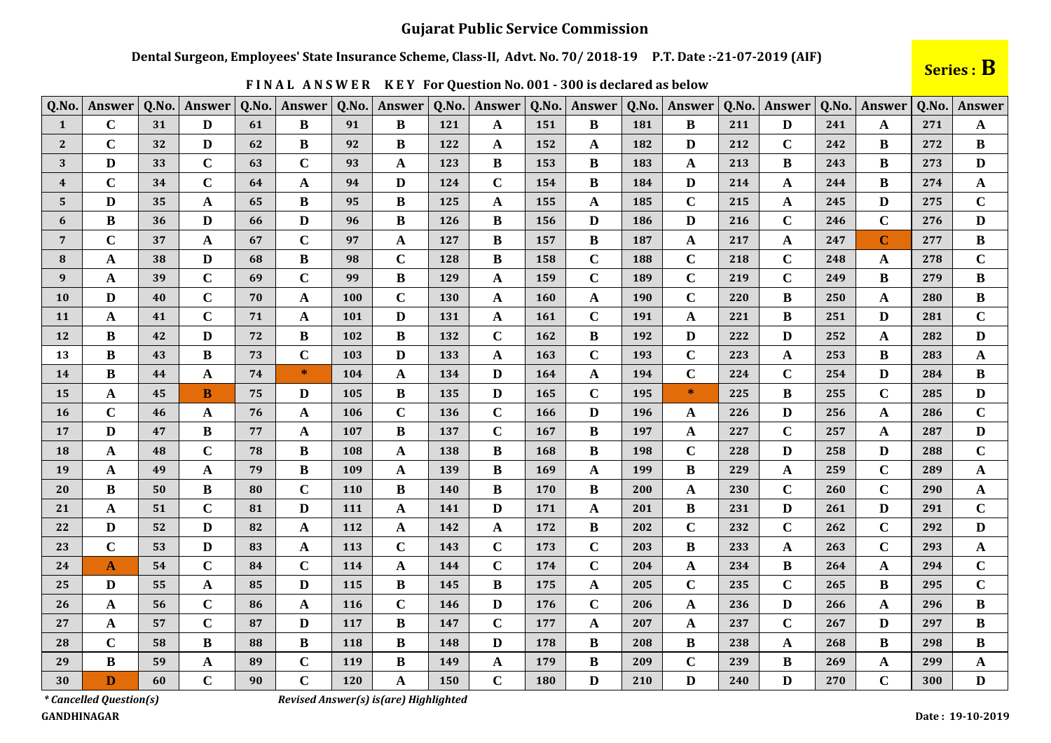### Dental Surgeon, Employees' State Insurance Scheme, Class-II, Advt. No. 70/2018-19 P.T. Date:-21-07-2019 (AIF)

## Series : B

| Q.No.                   | Answer       | Q.No. | Answer       | Q.No. | Answer                | Q.No. | Answer       | Q.No. | Answer       | Q.No.      | Answer      | Q.No. | Answer       | Q.No. | Answer       | Q.No. | Answer       | Q.No. | Answer       |
|-------------------------|--------------|-------|--------------|-------|-----------------------|-------|--------------|-------|--------------|------------|-------------|-------|--------------|-------|--------------|-------|--------------|-------|--------------|
| $\mathbf{1}$            | $\mathbf C$  | 31    | D            | 61    | B                     | 91    | B            | 121   | $\mathbf{A}$ | 151        | B           | 181   | B            | 211   | D            | 241   | A            | 271   | A            |
| $\mathbf{2}$            | $\mathbf C$  | 32    | D            | 62    | B                     | 92    | B            | 122   | A            | 152        | A           | 182   | D            | 212   | $\mathbf C$  | 242   | B            | 272   | B            |
| 3                       | D            | 33    | $\mathbf C$  | 63    | $\mathbf C$           | 93    | $\mathbf A$  | 123   | B            | 153        | B           | 183   | $\mathbf A$  | 213   | B            | 243   | B            | 273   | D            |
| $\overline{\mathbf{4}}$ | $\mathbf C$  | 34    | $\mathbf C$  | 64    | $\mathbf A$           | 94    | D            | 124   | $\mathbf C$  | 154        | B           | 184   | $\mathbf{D}$ | 214   | A            | 244   | B            | 274   | $\mathbf{A}$ |
| 5                       | D            | 35    | A            | 65    | $\, {\bf B}$          | 95    | B            | 125   | A            | 155        | A           | 185   | $\mathbf C$  | 215   | A            | 245   | D            | 275   | $\mathbf C$  |
| 6                       | B            | 36    | D            | 66    | $\mathbf{D}$          | 96    | B            | 126   | B            | 156        | D           | 186   | $\mathbf{D}$ | 216   | $\mathbf C$  | 246   | $\mathbf C$  | 276   | $\mathbf{D}$ |
| $7\phantom{.0}$         | $\mathbf C$  | 37    | A            | 67    | $\mathbf C$           | 97    | A            | 127   | B            | 157        | B           | 187   | A            | 217   | A            | 247   | $\mathbf C$  | 277   | B            |
| 8                       | $\mathbf A$  | 38    | D            | 68    | $\bf{B}$              | 98    | $\mathbf C$  | 128   | B            | 158        | $\mathbf C$ | 188   | $\mathbf C$  | 218   | $\mathbf C$  | 248   | A            | 278   | $\mathbf C$  |
| 9                       | A            | 39    | $\mathbf C$  | 69    | $\mathbf C$           | 99    | $\bf{B}$     | 129   | A            | 159        | $\mathbf C$ | 189   | $\mathbf C$  | 219   | $\mathbf C$  | 249   | $\bf{B}$     | 279   | $\bf{B}$     |
| <b>10</b>               | D            | 40    | $\mathbf C$  | 70    | $\mathbf A$           | 100   | $\mathbf C$  | 130   | A            | <b>160</b> | A           | 190   | $\mathbf C$  | 220   | B            | 250   | A            | 280   | B            |
| 11                      | $\mathbf A$  | 41    | $\mathbf C$  | 71    | $\mathbf A$           | 101   | D            | 131   | $\mathbf{A}$ | <b>161</b> | $\mathbf C$ | 191   | $\mathbf A$  | 221   | B            | 251   | D            | 281   | $\mathbf C$  |
| 12                      | B            | 42    | $\mathbf{D}$ | 72    | $\, {\bf B}$          | 102   | $\bf{B}$     | 132   | $\mathbf C$  | 162        | B           | 192   | $\mathbf{D}$ | 222   | D            | 252   | A            | 282   | $\mathbf{D}$ |
| 13                      | B            | 43    | B            | 73    | $\mathbf C$           | 103   | D            | 133   | A            | 163        | $\mathbf C$ | 193   | $\mathbf C$  | 223   | $\mathbf{A}$ | 253   | B            | 283   | $\mathbf A$  |
| 14                      | B            | 44    | $\mathbf{A}$ | 74    | $\ast$                | 104   | A            | 134   | D            | 164        | A           | 194   | $\mathbf C$  | 224   | $\mathbf C$  | 254   | D            | 284   | B            |
| 15                      | A            | 45    | <sub>B</sub> | 75    | $\mathbf{D}$          | 105   | $\bf{B}$     | 135   | D            | 165        | $\mathbf C$ | 195   | $\ast$       | 225   | B            | 255   | $\mathbf C$  | 285   | D            |
| <b>16</b>               | $\mathbf C$  | 46    | A            | 76    | $\mathbf{A}$          | 106   | $\mathbf C$  | 136   | $\mathbf C$  | 166        | D           | 196   | $\mathbf A$  | 226   | D            | 256   | A            | 286   | $\mathbf C$  |
| 17                      | D            | 47    | $\bf{B}$     | 77    | $\mathbf{A}$          | 107   | $\bf{B}$     | 137   | $\mathbf C$  | 167        | B           | 197   | $\mathbf A$  | 227   | $\mathbf C$  | 257   | A            | 287   | D            |
| 18                      | $\mathbf A$  | 48    | $\mathbf C$  | 78    | $\, {\bf B}$          | 108   | $\mathbf A$  | 138   | B            | 168        | $\bf{B}$    | 198   | $\mathbf C$  | 228   | D            | 258   | $\mathbf{D}$ | 288   | $\mathbf C$  |
| 19                      | $\mathbf A$  | 49    | A            | 79    | B                     | 109   | A            | 139   | B            | 169        | A           | 199   | $\bf{B}$     | 229   | A            | 259   | $\mathbf C$  | 289   | $\mathbf A$  |
| 20                      | B            | 50    | B            | 80    | $\mathbf C$           | 110   | B            | 140   | B            | 170        | B           | 200   | A            | 230   | $\mathbf C$  | 260   | $\mathbf C$  | 290   | $\mathbf{A}$ |
| 21                      | $\mathbf A$  | 51    | $\mathbf C$  | 81    | D                     | 111   | A            | 141   | D            | 171        | A           | 201   | $\bf{B}$     | 231   | D            | 261   | D            | 291   | $\mathbf C$  |
| 22                      | $\mathbf{D}$ | 52    | $\mathbf{D}$ | 82    | $\boldsymbol{\rm{A}}$ | 112   | $\mathbf{A}$ | 142   | $\mathbf{A}$ | 172        | $\bf{B}$    | 202   | $\mathbf C$  | 232   | $\mathbf C$  | 262   | $\mathbf C$  | 292   | $\mathbf{D}$ |
| 23                      | $\mathbf C$  | 53    | D            | 83    | $\mathbf A$           | 113   | $\mathbf C$  | 143   | $\mathbf C$  | 173        | $\mathbf C$ | 203   | $\bf{B}$     | 233   | A            | 263   | $\mathbf C$  | 293   | A            |
| 24                      | $\mathbf{A}$ | 54    | $\mathbf C$  | 84    | $\mathbf C$           | 114   | $\mathbf{A}$ | 144   | $\mathbf C$  | 174        | $\mathbf C$ | 204   | $\mathbf A$  | 234   | B            | 264   | A            | 294   | $\mathbf C$  |
| 25                      | D            | 55    | A            | 85    | $\mathbf{D}$          | 115   | $\bf{B}$     | 145   | B            | 175        | A           | 205   | $\mathbf C$  | 235   | $\mathbf C$  | 265   | B            | 295   | $\mathbf C$  |
| 26                      | A            | 56    | $\mathbf C$  | 86    | $\mathbf A$           | 116   | $\mathbf C$  | 146   | D            | 176        | $\mathbf C$ | 206   | $\mathbf A$  | 236   | D            | 266   | A            | 296   | $\bf{B}$     |
| 27                      | $\mathbf A$  | 57    | $\mathbf C$  | 87    | $\mathbf{D}$          | 117   | $\bf{B}$     | 147   | $\mathbf C$  | 177        | A           | 207   | $\mathbf A$  | 237   | $\mathbf C$  | 267   | D            | 297   | $\bf{B}$     |
| 28                      | $\mathbf C$  | 58    | B            | 88    | B                     | 118   | B            | 148   | D            | 178        | B           | 208   | $\bf{B}$     | 238   | A            | 268   | B            | 298   | B            |
| 29                      | $\bf{B}$     | 59    | A            | 89    | $\mathbf C$           | 119   | $\bf{B}$     | 149   | $\mathbf{A}$ | 179        | B           | 209   | $\mathbf C$  | 239   | B            | 269   | A            | 299   | $\mathbf{A}$ |
| 30                      | $\bf{D}$     | 60    | $\mathbf C$  | 90    | $\mathbf C$           | 120   | A            | 150   | $\mathbf C$  | 180        | D           | 210   | D            | 240   | D            | 270   | $\mathbf C$  | 300   | D            |

FINAL ANSWER KEY For Question No. 001 - 300 is declared as below

\*Cancelled Question(s)

Revised Answer(s) is(are) Highlighted

**GANDHINAGAR**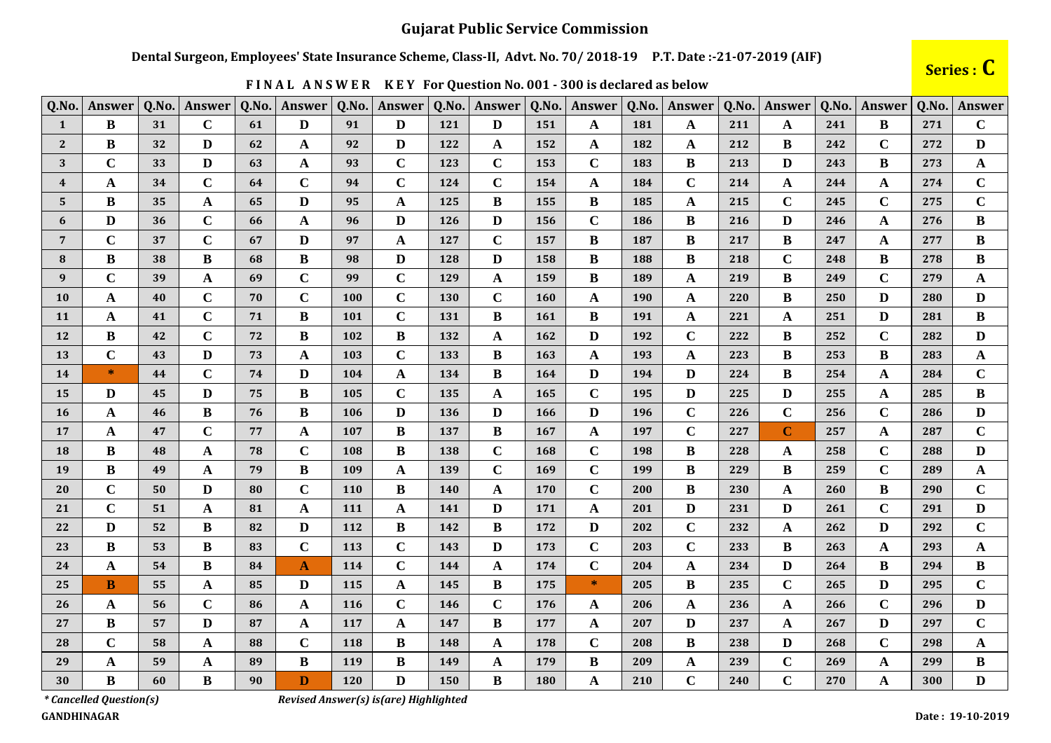### Dental Surgeon, Employees' State Insurance Scheme, Class-II, Advt. No. 70/2018-19 P.T. Date:-21-07-2019 (AIF)

Series : C

| Q.No.           | Answer      | Q.No. | Answer       | Q.No. | Answer                    | Q.No.      | Answer       | Q.No. | <b>Answer</b> | Q.No.      | <b>Answer</b> | Q.No. | Answer       | Q.No. | Answer      | Q.No. | Answer       | Q.No. | Answer                  |
|-----------------|-------------|-------|--------------|-------|---------------------------|------------|--------------|-------|---------------|------------|---------------|-------|--------------|-------|-------------|-------|--------------|-------|-------------------------|
| $\mathbf{1}$    | $\bf{B}$    | 31    | $\mathbf C$  | 61    | $\mathbf{D}$              | 91         | $\mathbf{D}$ | 121   | $\mathbf{D}$  | 151        | $\mathbf A$   | 181   | A            | 211   | $\mathbf A$ | 241   | B            | 271   | $\mathbf C$             |
| $\mathbf{2}$    | B           | 32    | D            | 62    | A                         | 92         | D            | 122   | A             | 152        | A             | 182   | A            | 212   | B           | 242   | $\mathbf C$  | 272   | $\mathbf{D}$            |
| 3               | $\mathbf C$ | 33    | D            | 63    | A                         | 93         | $\mathbf C$  | 123   | $\mathbf C$   | 153        | $\mathbf C$   | 183   | B            | 213   | D           | 243   | B            | 273   | $\mathbf A$             |
| $\overline{4}$  | A           | 34    | $\mathbf C$  | 64    | $\mathbf C$               | 94         | $\mathbf C$  | 124   | $\mathbf C$   | 154        | $\mathbf{A}$  | 184   | $\mathbf C$  | 214   | $\mathbf A$ | 244   | A            | 274   | $\mathbf C$             |
| 5               | $\bf{B}$    | 35    | A            | 65    | $\mathbf{D}$              | 95         | A            | 125   | $\bf{B}$      | 155        | $\bf{B}$      | 185   | A            | 215   | $\mathbf C$ | 245   | $\mathbf C$  | 275   | $\overline{\mathbf{C}}$ |
| 6               | D           | 36    | $\mathbf C$  | 66    | A                         | 96         | D            | 126   | D             | 156        | $\mathbf C$   | 186   | B            | 216   | D           | 246   | A            | 276   | $\bf{B}$                |
| $7\phantom{.0}$ | $\mathbf C$ | 37    | $\mathbf C$  | 67    | D                         | 97         | A            | 127   | $\mathbf C$   | 157        | B             | 187   | B            | 217   | $\bf{B}$    | 247   | A            | 277   | $\, {\bf B}$            |
| 8               | B           | 38    | $\bf{B}$     | 68    | B                         | 98         | D            | 128   | D             | 158        | $\bf{B}$      | 188   | $\bf{B}$     | 218   | $\mathbf C$ | 248   | B            | 278   | $\, {\bf B}$            |
| 9               | $\mathbf C$ | 39    | $\mathbf A$  | 69    | $\mathbf C$               | 99         | $\mathbf C$  | 129   | A             | 159        | $\bf{B}$      | 189   | $\mathbf A$  | 219   | $\bf{B}$    | 249   | $\mathbf C$  | 279   | $\mathbf A$             |
| <b>10</b>       | $\mathbf A$ | 40    | $\mathbf C$  | 70    | $\mathbf C$               | <b>100</b> | $\mathbf C$  | 130   | $\mathbf C$   | <b>160</b> | $\mathbf A$   | 190   | $\mathbf A$  | 220   | B           | 250   | D            | 280   | $\mathbf{D}$            |
| <b>11</b>       | $\mathbf A$ | 41    | $\mathbf C$  | 71    | В                         | 101        | $\mathbf C$  | 131   | B             | 161        | B             | 191   | A            | 221   | A           | 251   | D            | 281   | $\bf{B}$                |
| <b>12</b>       | B           | 42    | $\mathbf C$  | 72    | B                         | 102        | B            | 132   | A             | 162        | D             | 192   | $\mathbf C$  | 222   | B           | 252   | $\mathbf C$  | 282   | $\mathbf{D}$            |
| <b>13</b>       | $\mathbf C$ | 43    | $\mathbf{D}$ | 73    | $\boldsymbol{\mathsf{A}}$ | 103        | $\mathbf C$  | 133   | B             | 163        | $\mathbf{A}$  | 193   | $\mathbf A$  | 223   | B           | 253   | <sub>R</sub> | 283   | $\boldsymbol{\rm{A}}$   |
| <b>14</b>       | $\ast$      | 44    | $\mathbf C$  | 74    | $\mathbf{D}$              | 104        | A            | 134   | B             | 164        | D             | 194   | $\mathbf{D}$ | 224   | $\bf{B}$    | 254   | A            | 284   | $\mathbf C$             |
| 15              | D           | 45    | D            | 75    | $\bf{B}$                  | 105        | $\mathbf C$  | 135   | A             | 165        | $\mathbf C$   | 195   | $\mathbf{D}$ | 225   | D           | 255   | A            | 285   | $\bf{B}$                |
| <b>16</b>       | A           | 46    | $\bf{B}$     | 76    | B                         | 106        | D            | 136   | D             | 166        | D             | 196   | $\mathbf C$  | 226   | $\mathbf C$ | 256   | $\mathbf C$  | 286   | $\mathbf D$             |
| 17              | $\mathbf A$ | 47    | $\mathbf C$  | 77    | $\mathbf A$               | 107        | $\bf{B}$     | 137   | B             | 167        | $\mathbf A$   | 197   | $\mathbf C$  | 227   | $\mathbf C$ | 257   | $\mathbf A$  | 287   | $\mathbf C$             |
| <b>18</b>       | $\bf{B}$    | 48    | $\mathbf A$  | 78    | $\mathbf C$               | 108        | B            | 138   | $\mathbf C$   | 168        | $\mathbf C$   | 198   | B            | 228   | $\mathbf A$ | 258   | $\mathbf C$  | 288   | $\mathbf D$             |
| 19              | B           | 49    | $\mathbf A$  | 79    | B                         | 109        | A            | 139   | $\mathbf C$   | 169        | $\mathbf C$   | 199   | B            | 229   | B           | 259   | $\mathbf C$  | 289   | $\mathbf A$             |
| <b>20</b>       | $\mathbf C$ | 50    | D            | 80    | $\mathbf C$               | <b>110</b> | B            | 140   | A             | 170        | $\mathbf C$   | 200   | B            | 230   | A           | 260   | B            | 290   | $\mathbf C$             |
| 21              | $\mathbf C$ | 51    | $\mathbf A$  | 81    | A                         | 111        | A            | 141   | D             | 171        | $\mathbf A$   | 201   | D            | 231   | D           | 261   | $\mathbf C$  | 291   | $\mathbf D$             |
| 22              | D           | 52    | $\bf{B}$     | 82    | D                         | 112        | $\bf{B}$     | 142   | B             | 172        | $\mathbf{D}$  | 202   | $\mathbf C$  | 232   | A           | 262   | D            | 292   | $\mathbf C$             |
| 23              | B           | 53    | $\bf{B}$     | 83    | $\mathbf C$               | 113        | $\mathbf C$  | 143   | D             | 173        | $\mathbf C$   | 203   | $\mathbf C$  | 233   | B           | 263   | A            | 293   | $\mathbf A$             |
| 24              | A           | 54    | $\bf{B}$     | 84    | $\mathbf{A}$              | 114        | $\mathbf C$  | 144   | A             | 174        | $\mathbf C$   | 204   | A            | 234   | D           | 264   | B            | 294   | $\, {\bf B}$            |
| 25              | B           | 55    | A            | 85    | $\mathbf{D}$              | 115        | $\mathbf{A}$ | 145   | B             | 175        | $\ast$        | 205   | B            | 235   | $\mathbf C$ | 265   | D            | 295   | $\mathbf C$             |
| 26              | $\mathbf A$ | 56    | $\mathbf C$  | 86    | $\mathbf A$               | 116        | $\mathbf C$  | 146   | $\mathbf C$   | 176        | $\mathbf{A}$  | 206   | ${\bf A}$    | 236   | A           | 266   | $\mathbf C$  | 296   | $\mathbf D$             |
| 27              | B           | 57    | $\mathbf{D}$ | 87    | $\mathbf A$               | 117        | $\mathbf{A}$ | 147   | B             | 177        | $\mathbf{A}$  | 207   | $\mathbf{D}$ | 237   | $\mathbf A$ | 267   | D            | 297   | $\mathbf C$             |
| 28              | $\mathbf C$ | 58    | $\mathbf A$  | 88    | $\mathbf C$               | 118        | B            | 148   | $\mathbf{A}$  | 178        | $\mathbf C$   | 208   | B            | 238   | D           | 268   | $\mathbf C$  | 298   | $\boldsymbol{\rm{A}}$   |
| 29              | A           | 59    | A            | 89    | B                         | 119        | $\bf{B}$     | 149   | $\mathbf{A}$  | 179        | $\bf{B}$      | 209   | $\mathbf A$  | 239   | $\mathbf C$ | 269   | A            | 299   | $\, {\bf B}$            |
| 30              | B           | 60    | B            | 90    | D                         | <b>120</b> | D            | 150   | B             | 180        | A             | 210   | $\mathbf C$  | 240   | $\mathbf C$ | 270   | A            | 300   | D                       |

FINAL ANSWER KEY For Question No. 001 - 300 is declared as below

\*Cancelled Question(s)

Revised Answer(s) is(are) Highlighted

**GANDHINAGAR**